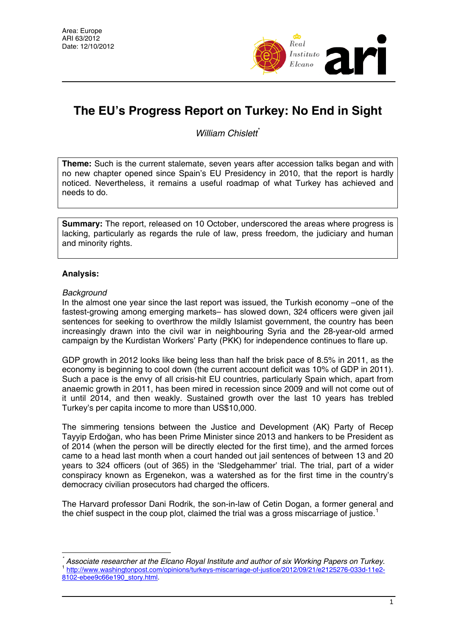

# **The EU's Progress Report on Turkey: No End in Sight**

*William Chislett*[\\*](#page-0-0)

**Theme:** Such is the current stalemate, seven years after accession talks began and with no new chapter opened since Spain's EU Presidency in 2010, that the report is hardly noticed. Nevertheless, it remains a useful roadmap of what Turkey has achieved and needs to do.

**Summary:** The report, released on 10 October, underscored the areas where progress is lacking, particularly as regards the rule of law, press freedom, the judiciary and human and minority rights.

## **Analysis:**

### *Background*

In the almost one year since the last report was issued, the Turkish economy –one of the fastest-growing among emerging markets– has slowed down, 324 officers were given jail sentences for seeking to overthrow the mildly Islamist government, the country has been increasingly drawn into the civil war in neighbouring Syria and the 28-year-old armed campaign by the Kurdistan Workers' Party (PKK) for independence continues to flare up.

GDP growth in 2012 looks like being less than half the brisk pace of 8.5% in 2011, as the economy is beginning to cool down (the current account deficit was 10% of GDP in 2011). Such a pace is the envy of all crisis-hit EU countries, particularly Spain which, apart from anaemic growth in 2011, has been mired in recession since 2009 and will not come out of it until 2014, and then weakly. Sustained growth over the last 10 years has trebled Turkey's per capita income to more than US\$10,000.

The simmering tensions between the Justice and Development (AK) Party of Recep Tayyip Erdoğan, who has been Prime Minister since 2013 and hankers to be President as of 2014 (when the person will be directly elected for the first time), and the armed forces came to a head last month when a court handed out jail sentences of between 13 and 20 years to 324 officers (out of 365) in the 'Sledgehammer' trial. The trial, part of a wider conspiracy known as Ergenekon, was a watershed as for the first time in the country's democracy civilian prosecutors had charged the officers.

The Harvard professor Dani Rodrik, the son-in-law of Cetin Dogan, a former general and the chief suspect in the coup plot, claimed the trial was a gross miscarriage of justice.<sup>[1](#page-0-1)</sup>

<span id="page-0-1"></span><span id="page-0-0"></span> $\overline{a}$ *\* Associate researcher at the Elcano Royal Institute and author of six Working Papers on Turkey.* <br> [http://www.washingtonpost.com/opinions/turkeys-miscarriage-of-justice/2012/09/21/e2125276-033d-11e2-](http://www.washingtonpost.com/opinions/turkeys-miscarriage-of-justice/2012/09/21/e2125276-033d-11e2-8102-ebee9c66e190_story.html) [8102-ebee9c66e190\\_story.html.](http://www.washingtonpost.com/opinions/turkeys-miscarriage-of-justice/2012/09/21/e2125276-033d-11e2-8102-ebee9c66e190_story.html)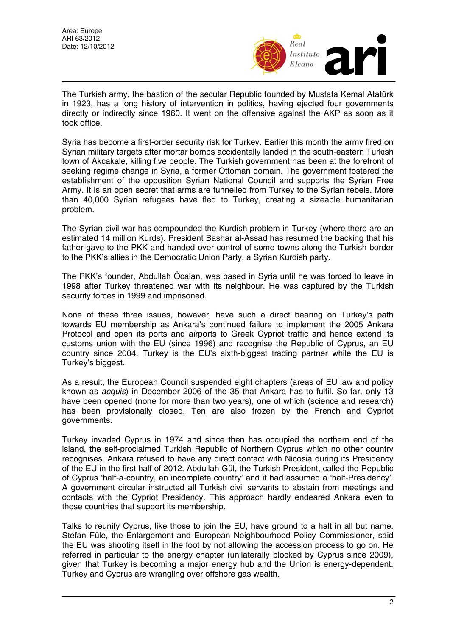

The Turkish army, the bastion of the secular Republic founded by Mustafa Kemal Atatürk in 1923, has a long history of intervention in politics, having ejected four governments directly or indirectly since 1960. It went on the offensive against the AKP as soon as it took office.

Syria has become a first-order security risk for Turkey. Earlier this month the army fired on Syrian military targets after mortar bombs accidentally landed in the south-eastern Turkish town of Akcakale, killing five people. The Turkish government has been at the forefront of seeking regime change in Syria, a former Ottoman domain. The government fostered the establishment of the opposition Syrian National Council and supports the Syrian Free Army. It is an open secret that arms are funnelled from Turkey to the Syrian rebels. More than 40,000 Syrian refugees have fled to Turkey, creating a sizeable humanitarian problem.

The Syrian civil war has compounded the Kurdish problem in Turkey (where there are an estimated 14 million Kurds). President Bashar al-Assad has resumed the backing that his father gave to the PKK and handed over control of some towns along the Turkish border to the PKK's allies in the Democratic Union Party, a Syrian Kurdish party.

The PKK's founder, Abdullah Öcalan, was based in Syria until he was forced to leave in 1998 after Turkey threatened war with its neighbour. He was captured by the Turkish security forces in 1999 and imprisoned.

None of these three issues, however, have such a direct bearing on Turkey's path towards EU membership as Ankara's continued failure to implement the 2005 Ankara Protocol and open its ports and airports to Greek Cypriot traffic and hence extend its customs union with the EU (since 1996) and recognise the Republic of Cyprus, an EU country since 2004. Turkey is the EU's sixth-biggest trading partner while the EU is Turkey's biggest.

As a result, the European Council suspended eight chapters (areas of EU law and policy known as *acquis*) in December 2006 of the 35 that Ankara has to fulfil. So far, only 13 have been opened (none for more than two years), one of which (science and research) has been provisionally closed. Ten are also frozen by the French and Cypriot governments.

Turkey invaded Cyprus in 1974 and since then has occupied the northern end of the island, the self-proclaimed Turkish Republic of Northern Cyprus which no other country recognises. Ankara refused to have any direct contact with Nicosia during its Presidency of the EU in the first half of 2012. Abdullah Gül, the Turkish President, called the Republic of Cyprus 'half-a-country, an incomplete country' and it had assumed a 'half-Presidency'. A government circular instructed all Turkish civil servants to abstain from meetings and contacts with the Cypriot Presidency. This approach hardly endeared Ankara even to those countries that support its membership.

Talks to reunify Cyprus, like those to join the EU, have ground to a halt in all but name. Stefan Füle, the Enlargement and European Neighbourhood Policy Commissioner, said the EU was shooting itself in the foot by not allowing the accession process to go on. He referred in particular to the energy chapter (unilaterally blocked by Cyprus since 2009), given that Turkey is becoming a major energy hub and the Union is energy-dependent. Turkey and Cyprus are wrangling over offshore gas wealth.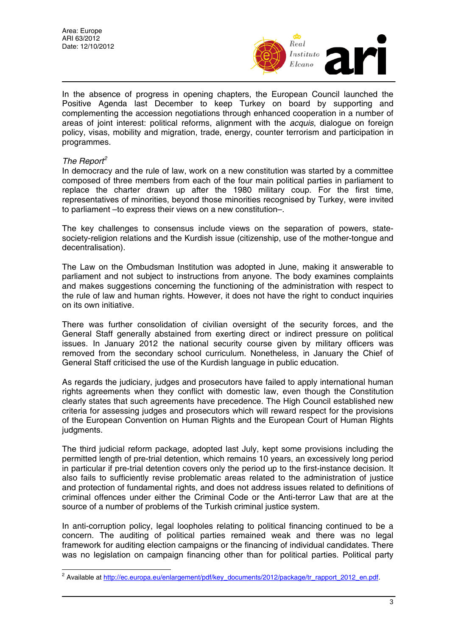

In the absence of progress in opening chapters, the European Council launched the Positive Agenda last December to keep Turkey on board by supporting and complementing the accession negotiations through enhanced cooperation in a number of areas of joint interest: political reforms, alignment with the *acquis*, dialogue on foreign policy, visas, mobility and migration, trade, energy, counter terrorism and participation in programmes.

### *The Report[2](#page-2-0)*

 $\overline{a}$ 

In democracy and the rule of law, work on a new constitution was started by a committee composed of three members from each of the four main political parties in parliament to replace the charter drawn up after the 1980 military coup. For the first time, representatives of minorities, beyond those minorities recognised by Turkey, were invited to parliament –to express their views on a new constitution–.

The key challenges to consensus include views on the separation of powers, statesociety-religion relations and the Kurdish issue (citizenship, use of the mother-tongue and decentralisation).

The Law on the Ombudsman Institution was adopted in June, making it answerable to parliament and not subject to instructions from anyone. The body examines complaints and makes suggestions concerning the functioning of the administration with respect to the rule of law and human rights. However, it does not have the right to conduct inquiries on its own initiative.

There was further consolidation of civilian oversight of the security forces, and the General Staff generally abstained from exerting direct or indirect pressure on political issues. In January 2012 the national security course given by military officers was removed from the secondary school curriculum. Nonetheless, in January the Chief of General Staff criticised the use of the Kurdish language in public education.

As regards the judiciary, judges and prosecutors have failed to apply international human rights agreements when they conflict with domestic law, even though the Constitution clearly states that such agreements have precedence. The High Council established new criteria for assessing judges and prosecutors which will reward respect for the provisions of the European Convention on Human Rights and the European Court of Human Rights judgments.

The third judicial reform package, adopted last July, kept some provisions including the permitted length of pre-trial detention, which remains 10 years, an excessively long period in particular if pre-trial detention covers only the period up to the first-instance decision. It also fails to sufficiently revise problematic areas related to the administration of justice and protection of fundamental rights, and does not address issues related to definitions of criminal offences under either the Criminal Code or the Anti-terror Law that are at the source of a number of problems of the Turkish criminal justice system.

In anti-corruption policy, legal loopholes relating to political financing continued to be a concern. The auditing of political parties remained weak and there was no legal framework for auditing election campaigns or the financing of individual candidates. There was no legislation on campaign financing other than for political parties. Political party

<span id="page-2-0"></span><sup>&</sup>lt;sup>2</sup> Available at [http://ec.europa.eu/enlargement/pdf/key\\_documents/2012/package/tr\\_rapport\\_2012\\_en.pdf.](http://ec.europa.eu/enlargement/pdf/key_documents/2012/package/tr_rapport_2012_en.pdf)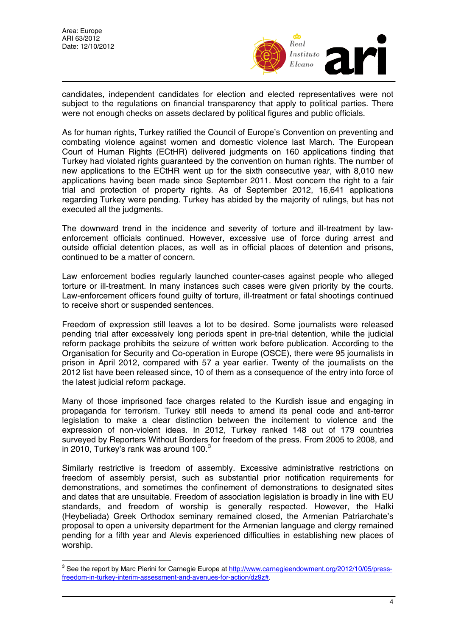

candidates, independent candidates for election and elected representatives were not subject to the regulations on financial transparency that apply to political parties. There were not enough checks on assets declared by political figures and public officials.

As for human rights, Turkey ratified the Council of Europe's Convention on preventing and combating violence against women and domestic violence last March. The European Court of Human Rights (ECtHR) delivered judgments on 160 applications finding that Turkey had violated rights guaranteed by the convention on human rights. The number of new applications to the ECtHR went up for the sixth consecutive year, with 8,010 new applications having been made since September 2011. Most concern the right to a fair trial and protection of property rights. As of September 2012, 16,641 applications regarding Turkey were pending. Turkey has abided by the majority of rulings, but has not executed all the judgments.

The downward trend in the incidence and severity of torture and ill-treatment by lawenforcement officials continued. However, excessive use of force during arrest and outside official detention places, as well as in official places of detention and prisons, continued to be a matter of concern.

Law enforcement bodies regularly launched counter-cases against people who alleged torture or ill-treatment. In many instances such cases were given priority by the courts. Law-enforcement officers found guilty of torture, ill-treatment or fatal shootings continued to receive short or suspended sentences.

Freedom of expression still leaves a lot to be desired. Some journalists were released pending trial after excessively long periods spent in pre-trial detention, while the judicial reform package prohibits the seizure of written work before publication. According to the Organisation for Security and Co-operation in Europe (OSCE), there were 95 journalists in prison in April 2012, compared with 57 a year earlier. Twenty of the journalists on the 2012 list have been released since, 10 of them as a consequence of the entry into force of the latest judicial reform package.

Many of those imprisoned face charges related to the Kurdish issue and engaging in propaganda for terrorism. Turkey still needs to amend its penal code and anti-terror legislation to make a clear distinction between the incitement to violence and the expression of non-violent ideas. In 2012, Turkey ranked 148 out of 179 countries surveyed by Reporters Without Borders for freedom of the press. From 2005 to 2008, and in 2010, Turkey's rank was around 100.<sup>[3](#page-3-0)</sup>

Similarly restrictive is freedom of assembly. Excessive administrative restrictions on freedom of assembly persist, such as substantial prior notification requirements for demonstrations, and sometimes the confinement of demonstrations to designated sites and dates that are unsuitable. Freedom of association legislation is broadly in line with EU standards, and freedom of worship is generally respected. However, the Halki (Heybeliada) Greek Orthodox seminary remained closed, the Armenian Patriarchate's proposal to open a university department for the Armenian language and clergy remained pending for a fifth year and Alevis experienced difficulties in establishing new places of worship.

<span id="page-3-0"></span> 3 See the report by Marc Pierini for Carnegie Europe at [http://www.carnegieendowment.org/2012/10/05/press](http://www.carnegieendowment.org/2012/10/05/press-freedom-in-turkey-interim-assessment-and-avenues-for-action/dz9z)[freedom-in-turkey-interim-assessment-and-avenues-for-action/dz9z#](http://www.carnegieendowment.org/2012/10/05/press-freedom-in-turkey-interim-assessment-and-avenues-for-action/dz9z).